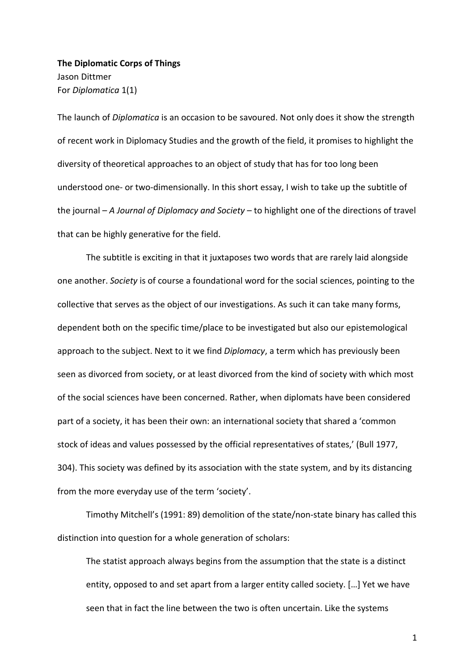**The Diplomatic Corps of Things**  Jason Dittmer For *Diplomatica* 1(1)

The launch of *Diplomatica* is an occasion to be savoured. Not only does it show the strength of recent work in Diplomacy Studies and the growth of the field, it promises to highlight the diversity of theoretical approaches to an object of study that has for too long been understood one- or two-dimensionally. In this short essay, I wish to take up the subtitle of the journal – *A Journal of Diplomacy and Society* – to highlight one of the directions of travel that can be highly generative for the field.

The subtitle is exciting in that it juxtaposes two words that are rarely laid alongside one another. *Society* is of course a foundational word for the social sciences, pointing to the collective that serves as the object of our investigations. As such it can take many forms, dependent both on the specific time/place to be investigated but also our epistemological approach to the subject. Next to it we find *Diplomacy*, a term which has previously been seen as divorced from society, or at least divorced from the kind of society with which most of the social sciences have been concerned. Rather, when diplomats have been considered part of a society, it has been their own: an international society that shared a 'common stock of ideas and values possessed by the official representatives of states,' (Bull 1977, 304). This society was defined by its association with the state system, and by its distancing from the more everyday use of the term 'society'.

Timothy Mitchell's (1991: 89) demolition of the state/non-state binary has called this distinction into question for a whole generation of scholars:

The statist approach always begins from the assumption that the state is a distinct entity, opposed to and set apart from a larger entity called society. […] Yet we have seen that in fact the line between the two is often uncertain. Like the systems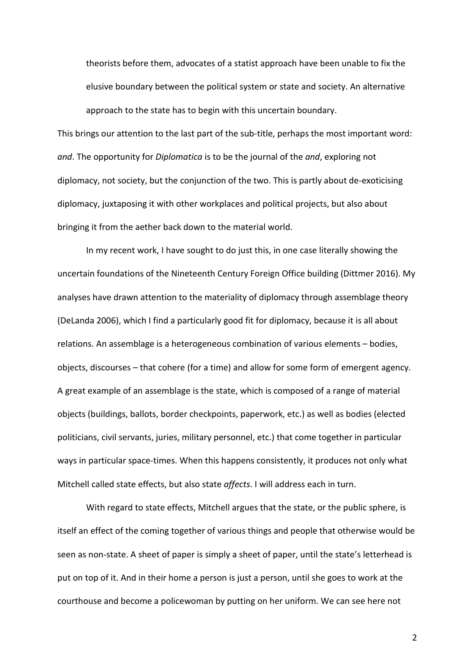theorists before them, advocates of a statist approach have been unable to fix the elusive boundary between the political system or state and society. An alternative approach to the state has to begin with this uncertain boundary.

This brings our attention to the last part of the sub-title, perhaps the most important word: *and*. The opportunity for *Diplomatica* is to be the journal of the *and*, exploring not diplomacy, not society, but the conjunction of the two. This is partly about de-exoticising diplomacy, juxtaposing it with other workplaces and political projects, but also about bringing it from the aether back down to the material world.

In my recent work, I have sought to do just this, in one case literally showing the uncertain foundations of the Nineteenth Century Foreign Office building (Dittmer 2016). My analyses have drawn attention to the materiality of diplomacy through assemblage theory (DeLanda 2006), which I find a particularly good fit for diplomacy, because it is all about relations. An assemblage is a heterogeneous combination of various elements – bodies, objects, discourses – that cohere (for a time) and allow for some form of emergent agency. A great example of an assemblage is the state, which is composed of a range of material objects (buildings, ballots, border checkpoints, paperwork, etc.) as well as bodies (elected politicians, civil servants, juries, military personnel, etc.) that come together in particular ways in particular space-times. When this happens consistently, it produces not only what Mitchell called state effects, but also state *affects*. I will address each in turn.

With regard to state effects, Mitchell argues that the state, or the public sphere, is itself an effect of the coming together of various things and people that otherwise would be seen as non-state. A sheet of paper is simply a sheet of paper, until the state's letterhead is put on top of it. And in their home a person is just a person, until she goes to work at the courthouse and become a policewoman by putting on her uniform. We can see here not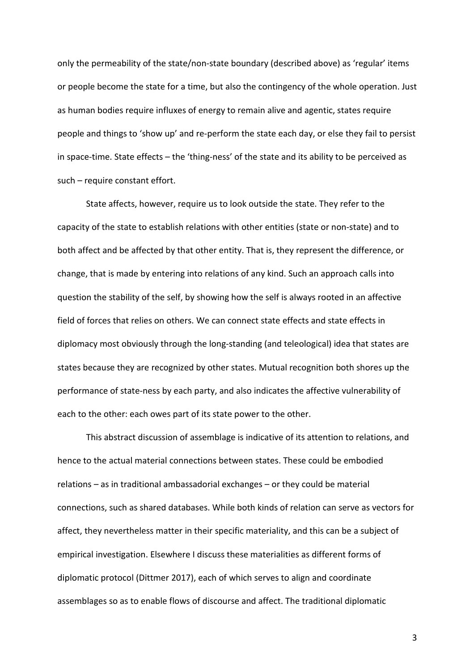only the permeability of the state/non-state boundary (described above) as 'regular' items or people become the state for a time, but also the contingency of the whole operation. Just as human bodies require influxes of energy to remain alive and agentic, states require people and things to 'show up' and re-perform the state each day, or else they fail to persist in space-time. State effects – the 'thing-ness' of the state and its ability to be perceived as such – require constant effort.

State affects, however, require us to look outside the state. They refer to the capacity of the state to establish relations with other entities (state or non-state) and to both affect and be affected by that other entity. That is, they represent the difference, or change, that is made by entering into relations of any kind. Such an approach calls into question the stability of the self, by showing how the self is always rooted in an affective field of forces that relies on others. We can connect state effects and state effects in diplomacy most obviously through the long-standing (and teleological) idea that states are states because they are recognized by other states. Mutual recognition both shores up the performance of state-ness by each party, and also indicates the affective vulnerability of each to the other: each owes part of its state power to the other.

This abstract discussion of assemblage is indicative of its attention to relations, and hence to the actual material connections between states. These could be embodied relations – as in traditional ambassadorial exchanges – or they could be material connections, such as shared databases. While both kinds of relation can serve as vectors for affect, they nevertheless matter in their specific materiality, and this can be a subject of empirical investigation. Elsewhere I discuss these materialities as different forms of diplomatic protocol (Dittmer 2017), each of which serves to align and coordinate assemblages so as to enable flows of discourse and affect. The traditional diplomatic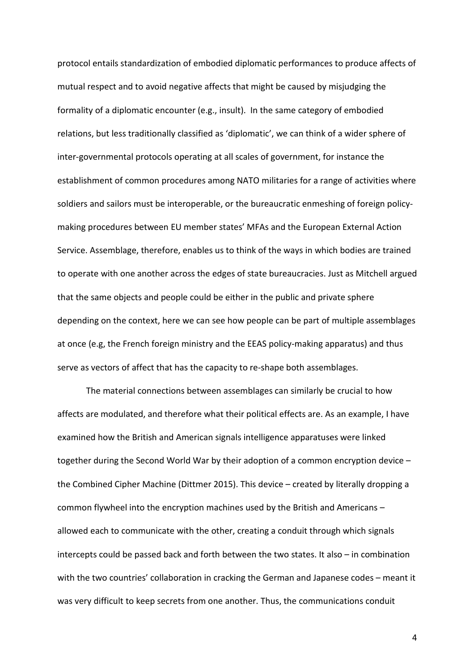protocol entails standardization of embodied diplomatic performances to produce affects of mutual respect and to avoid negative affects that might be caused by misjudging the formality of a diplomatic encounter (e.g., insult). In the same category of embodied relations, but less traditionally classified as 'diplomatic', we can think of a wider sphere of inter-governmental protocols operating at all scales of government, for instance the establishment of common procedures among NATO militaries for a range of activities where soldiers and sailors must be interoperable, or the bureaucratic enmeshing of foreign policymaking procedures between EU member states' MFAs and the European External Action Service. Assemblage, therefore, enables us to think of the ways in which bodies are trained to operate with one another across the edges of state bureaucracies. Just as Mitchell argued that the same objects and people could be either in the public and private sphere depending on the context, here we can see how people can be part of multiple assemblages at once (e.g, the French foreign ministry and the EEAS policy-making apparatus) and thus serve as vectors of affect that has the capacity to re-shape both assemblages.

The material connections between assemblages can similarly be crucial to how affects are modulated, and therefore what their political effects are. As an example, I have examined how the British and American signals intelligence apparatuses were linked together during the Second World War by their adoption of a common encryption device – the Combined Cipher Machine (Dittmer 2015). This device – created by literally dropping a common flywheel into the encryption machines used by the British and Americans – allowed each to communicate with the other, creating a conduit through which signals intercepts could be passed back and forth between the two states. It also – in combination with the two countries' collaboration in cracking the German and Japanese codes – meant it was very difficult to keep secrets from one another. Thus, the communications conduit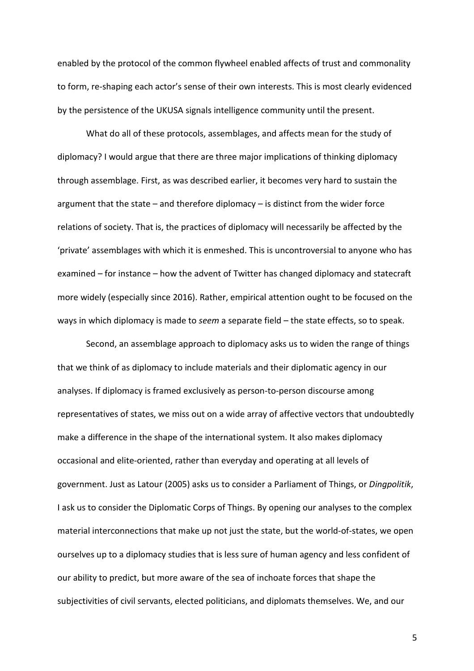enabled by the protocol of the common flywheel enabled affects of trust and commonality to form, re-shaping each actor's sense of their own interests. This is most clearly evidenced by the persistence of the UKUSA signals intelligence community until the present.

What do all of these protocols, assemblages, and affects mean for the study of diplomacy? I would argue that there are three major implications of thinking diplomacy through assemblage. First, as was described earlier, it becomes very hard to sustain the argument that the state – and therefore diplomacy – is distinct from the wider force relations of society. That is, the practices of diplomacy will necessarily be affected by the 'private' assemblages with which it is enmeshed. This is uncontroversial to anyone who has examined – for instance – how the advent of Twitter has changed diplomacy and statecraft more widely (especially since 2016). Rather, empirical attention ought to be focused on the ways in which diplomacy is made to *seem* a separate field – the state effects, so to speak.

Second, an assemblage approach to diplomacy asks us to widen the range of things that we think of as diplomacy to include materials and their diplomatic agency in our analyses. If diplomacy is framed exclusively as person-to-person discourse among representatives of states, we miss out on a wide array of affective vectors that undoubtedly make a difference in the shape of the international system. It also makes diplomacy occasional and elite-oriented, rather than everyday and operating at all levels of government. Just as Latour (2005) asks us to consider a Parliament of Things, or *Dingpolitik*, I ask us to consider the Diplomatic Corps of Things. By opening our analyses to the complex material interconnections that make up not just the state, but the world-of-states, we open ourselves up to a diplomacy studies that is less sure of human agency and less confident of our ability to predict, but more aware of the sea of inchoate forces that shape the subjectivities of civil servants, elected politicians, and diplomats themselves. We, and our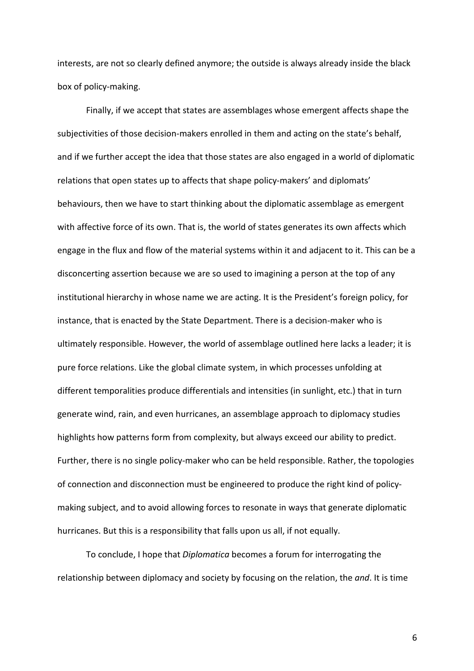interests, are not so clearly defined anymore; the outside is always already inside the black box of policy-making.

Finally, if we accept that states are assemblages whose emergent affects shape the subjectivities of those decision-makers enrolled in them and acting on the state's behalf, and if we further accept the idea that those states are also engaged in a world of diplomatic relations that open states up to affects that shape policy-makers' and diplomats' behaviours, then we have to start thinking about the diplomatic assemblage as emergent with affective force of its own. That is, the world of states generates its own affects which engage in the flux and flow of the material systems within it and adjacent to it. This can be a disconcerting assertion because we are so used to imagining a person at the top of any institutional hierarchy in whose name we are acting. It is the President's foreign policy, for instance, that is enacted by the State Department. There is a decision-maker who is ultimately responsible. However, the world of assemblage outlined here lacks a leader; it is pure force relations. Like the global climate system, in which processes unfolding at different temporalities produce differentials and intensities (in sunlight, etc.) that in turn generate wind, rain, and even hurricanes, an assemblage approach to diplomacy studies highlights how patterns form from complexity, but always exceed our ability to predict. Further, there is no single policy-maker who can be held responsible. Rather, the topologies of connection and disconnection must be engineered to produce the right kind of policymaking subject, and to avoid allowing forces to resonate in ways that generate diplomatic hurricanes. But this is a responsibility that falls upon us all, if not equally.

To conclude, I hope that *Diplomatica* becomes a forum for interrogating the relationship between diplomacy and society by focusing on the relation, the *and*. It is time